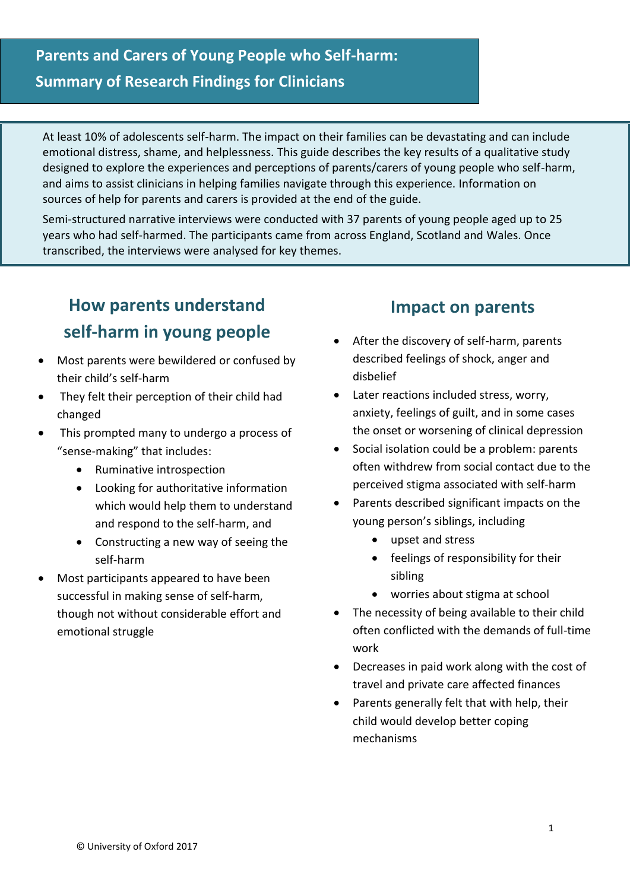At least 10% of adolescents self-harm. The impact on their families can be devastating and can include emotional distress, shame, and helplessness. This guide describes the key results of a qualitative study designed to explore the experiences and perceptions of parents/carers of young people who self-harm, and aims to assist clinicians in helping families navigate through this experience. Information on sources of help for parents and carers is provided at the end of the guide.

Semi-structured narrative interviews were conducted with 37 parents of young people aged up to 25 years who had self-harmed. The participants came from across England, Scotland and Wales. Once transcribed, the interviews were analysed for key themes.

### **How parents understand self-harm in young people**

- Most parents were bewildered or confused by their child's self-harm
- They felt their perception of their child had changed
- This prompted many to undergo a process of "sense-making" that includes:
	- Ruminative introspection
	- Looking for authoritative information which would help them to understand and respond to the self-harm, and
	- Constructing a new way of seeing the self-harm
- Most participants appeared to have been successful in making sense of self-harm, though not without considerable effort and emotional struggle

### **Impact on parents**

- After the discovery of self-harm, parents described feelings of shock, anger and disbelief
- Later reactions included stress, worry, anxiety, feelings of guilt, and in some cases the onset or worsening of clinical depression
- Social isolation could be a problem: parents often withdrew from social contact due to the perceived stigma associated with self-harm
- Parents described significant impacts on the young person's siblings, including
	- upset and stress
	- feelings of responsibility for their sibling
	- worries about stigma at school
- The necessity of being available to their child often conflicted with the demands of full-time work
- Decreases in paid work along with the cost of travel and private care affected finances
- Parents generally felt that with help, their child would develop better coping mechanisms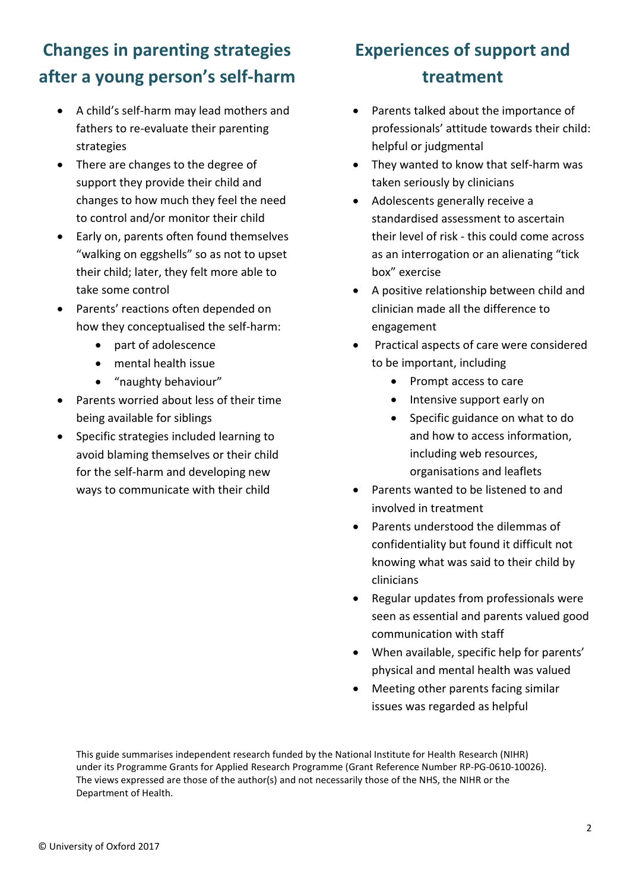# **Changes in parenting strategies after a young person's self-harm**

- A child's self-harm may lead mothers and fathers to re-evaluate their parenting strategies
- There are changes to the degree of support they provide their child and changes to how much they feel the need to control and/or monitor their child
- Early on, parents often found themselves "walking on eggshells" so as not to upset their child; later, they felt more able to take some control
- Parents' reactions often depended on how they conceptualised the self-harm:
	- part of adolescence
	- mental health issue
	- "naughty behaviour"
- Parents worried about less of their time being available for siblings
- Specific strategies included learning to avoid blaming themselves or their child for the self-harm and developing new ways to communicate with their child

# **Experiences of support and treatment**

- Parents talked about the importance of professionals' attitude towards their child: helpful or judgmental
- They wanted to know that self-harm was taken seriously by clinicians
- Adolescents generally receive a standardised assessment to ascertain their level of risk - this could come across as an interrogation or an alienating "tick box" exercise
- A positive relationship between child and clinician made all the difference to engagement
- Practical aspects of care were considered to be important, including
	- Prompt access to care
	- Intensive support early on
	- Specific guidance on what to do and how to access information, including web resources, organisations and leaflets
- Parents wanted to be listened to and involved in treatment
- Parents understood the dilemmas of confidentiality but found it difficult not knowing what was said to their child by clinicians
- Regular updates from professionals were seen as essential and parents valued good communication with staff
- When available, specific help for parents' physical and mental health was valued
- Meeting other parents facing similar issues was regarded as helpful

This guide summarises independent research funded by the National Institute for Health Research (NIHR) under its Programme Grants for Applied Research Programme (Grant Reference Number RP-PG-0610-10026). The views expressed are those of the author(s) and not necessarily those of the NHS, the NIHR or the Department of Health.